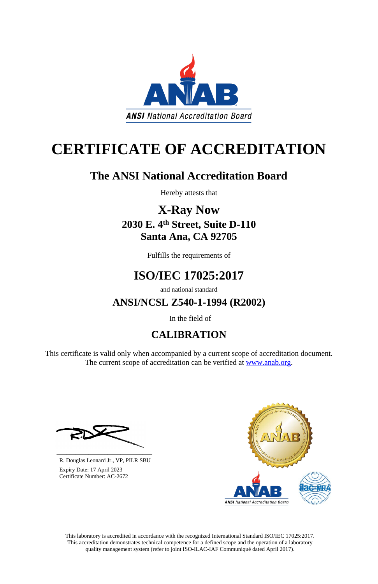This laboratory is accredited in accordance with the recognized International Standard ISO/IEC 17025:2017. This accreditation demonstrates technical competence for a defined scope and the operation of a laboratory quality management system (refer to joint ISO-ILAC-IAF Communiqué dated April 2017).

This certificate is valid only when accompanied by a current scope of accreditation document. The current scope of accreditation can be verified at [www.anab.org.](http://www.anab.org/)







# **CERTIFICATE OF ACCREDITATION**

### **The ANSI National Accreditation Board**

Hereby attests that

**X-Ray Now 2030 E. 4th Street, Suite D-110 Santa Ana, CA 92705**

Fulfills the requirements of

## **ISO/IEC 17025:2017**

and national standard

**ANSI/NCSL Z540-1-1994 (R2002)**

In the field of

### **CALIBRATION**

**\_\_\_\_\_\_\_\_\_\_\_\_\_\_\_\_\_\_\_\_\_\_\_\_\_\_\_\_\_\_** R. Douglas Leonard Jr., VP, PILR SBU

 Expiry Date: 17 April 2023 Certificate Number: AC-2672